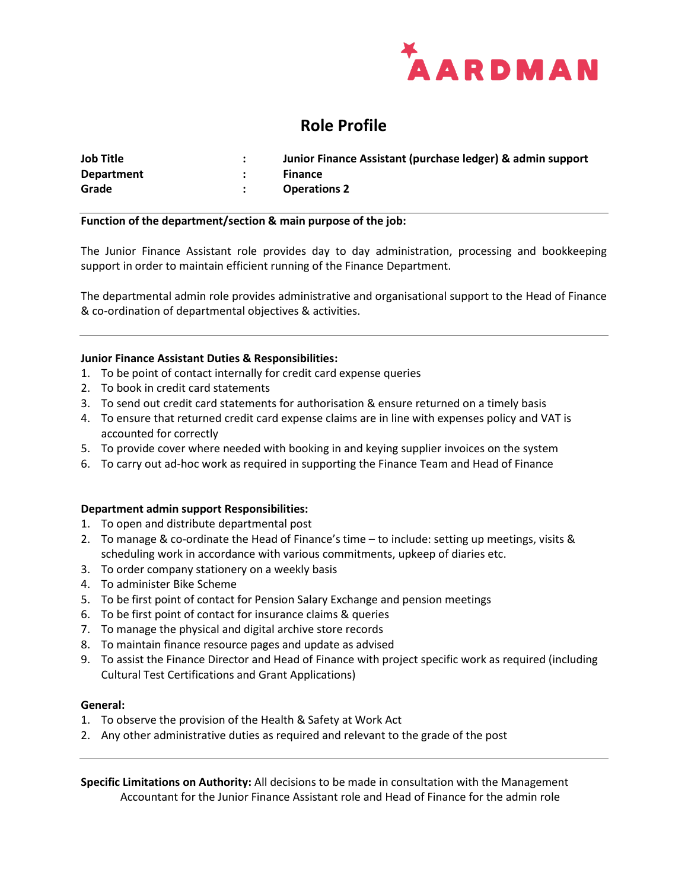

# **Role Profile**

| <b>Job Title</b>  | Junior Finance Assistant (purchase ledger) & admin support |
|-------------------|------------------------------------------------------------|
| <b>Department</b> | <b>Finance</b>                                             |
| Grade             | <b>Operations 2</b>                                        |

## **Function of the department/section & main purpose of the job:**

The Junior Finance Assistant role provides day to day administration, processing and bookkeeping support in order to maintain efficient running of the Finance Department.

The departmental admin role provides administrative and organisational support to the Head of Finance & co-ordination of departmental objectives & activities.

# **Junior Finance Assistant Duties & Responsibilities:**

- 1. To be point of contact internally for credit card expense queries
- 2. To book in credit card statements
- 3. To send out credit card statements for authorisation & ensure returned on a timely basis
- 4. To ensure that returned credit card expense claims are in line with expenses policy and VAT is accounted for correctly
- 5. To provide cover where needed with booking in and keying supplier invoices on the system
- 6. To carry out ad-hoc work as required in supporting the Finance Team and Head of Finance

#### **Department admin support Responsibilities:**

- 1. To open and distribute departmental post
- 2. To manage & co-ordinate the Head of Finance's time to include: setting up meetings, visits & scheduling work in accordance with various commitments, upkeep of diaries etc.
- 3. To order company stationery on a weekly basis
- 4. To administer Bike Scheme
- 5. To be first point of contact for Pension Salary Exchange and pension meetings
- 6. To be first point of contact for insurance claims & queries
- 7. To manage the physical and digital archive store records
- 8. To maintain finance resource pages and update as advised
- 9. To assist the Finance Director and Head of Finance with project specific work as required (including Cultural Test Certifications and Grant Applications)

#### **General:**

- 1. To observe the provision of the Health & Safety at Work Act
- 2. Any other administrative duties as required and relevant to the grade of the post

**Specific Limitations on Authority:** All decisions to be made in consultation with the Management Accountant for the Junior Finance Assistant role and Head of Finance for the admin role